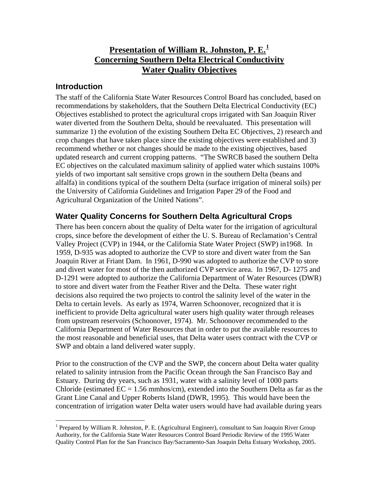#### **Introduction**

The staff of the California State Water Resources Control Board has concluded, based on recommendations by stakeholders, that the Southern Delta Electrical Conductivity (EC) Objectives established to protect the agricultural crops irrigated with San Joaquin River water diverted from the Southern Delta, should be reevaluated. This presentation will summarize 1) the evolution of the existing Southern Delta EC Objectives, 2) research and crop changes that have taken place since the existing objectives were established and 3) recommend whether or not changes should be made to the existing objectives, based updated research and current cropping patterns. "The SWRCB based the southern Delta EC objectives on the calculated maximum salinity of applied water which sustains 100% yields of two important salt sensitive crops grown in the southern Delta (beans and alfalfa) in conditions typical of the southern Delta (surface irrigation of mineral soils) per the University of California Guidelines and Irrigation Paper 29 of the Food and Agricultural Organization of the United Nations".

## **Water Quality Concerns for Southern Delta Agricultural Crops**

There has been concern about the quality of Delta water for the irrigation of agricultural crops, since before the development of either the U. S. Bureau of Reclamation's Central Valley Project (CVP) in 1944, or the California State Water Project (SWP) in1968. In 1959, D-935 was adopted to authorize the CVP to store and divert water from the San Joaquin River at Friant Dam. In 1961, D-990 was adopted to authorize the CVP to store and divert water for most of the then authorized CVP service area. In 1967, D- 1275 and D-1291 were adopted to authorize the California Department of Water Resources (DWR) to store and divert water from the Feather River and the Delta. These water right decisions also required the two projects to control the salinity level of the water in the Delta to certain levels. As early as 1974, Warren Schoonover, recognized that it is inefficient to provide Delta agricultural water users high quality water through releases from upstream reservoirs (Schoonover, 1974). Mr. Schoonover recommended to the California Department of Water Resources that in order to put the available resources to the most reasonable and beneficial uses, that Delta water users contract with the CVP or SWP and obtain a land delivered water supply.

Prior to the construction of the CVP and the SWP, the concern about Delta water quality related to salinity intrusion from the Pacific Ocean through the San Francisco Bay and Estuary. During dry years, such as 1931, water with a salinity level of 1000 parts Chloride (estimated  $EC = 1.56$  mmhos/cm), extended into the Southern Delta as far as the Grant Line Canal and Upper Roberts Island (DWR, 1995). This would have been the concentration of irrigation water Delta water users would have had available during years

<span id="page-0-0"></span> $\overline{a}$ <sup>1</sup> Prepared by William R. Johnston, P. E. (Agricultural Engineer), consultant to San Joaquin River Group Authority, for the California State Water Resources Control Board Periodic Review of the 1995 Water Quality Control Plan for the San Francisco Bay/Sacramento-San Joaquin Delta Estuary Workshop, 2005.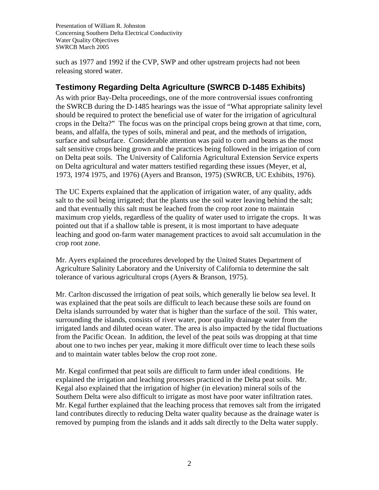such as 1977 and 1992 if the CVP, SWP and other upstream projects had not been releasing stored water.

## **Testimony Regarding Delta Agriculture (SWRCB D-1485 Exhibits)**

As with prior Bay-Delta proceedings, one of the more controversial issues confronting the SWRCB during the D-1485 hearings was the issue of "What appropriate salinity level should be required to protect the beneficial use of water for the irrigation of agricultural crops in the Delta?" The focus was on the principal crops being grown at that time, corn, beans, and alfalfa, the types of soils, mineral and peat, and the methods of irrigation, surface and subsurface. Considerable attention was paid to corn and beans as the most salt sensitive crops being grown and the practices being followed in the irrigation of corn on Delta peat soils. The University of California Agricultural Extension Service experts on Delta agricultural and water matters testified regarding these issues (Meyer, et al, 1973, 1974 1975, and 1976) (Ayers and Branson, 1975) (SWRCB, UC Exhibits, 1976).

The UC Experts explained that the application of irrigation water, of any quality, adds salt to the soil being irrigated; that the plants use the soil water leaving behind the salt; and that eventually this salt must be leached from the crop root zone to maintain maximum crop yields, regardless of the quality of water used to irrigate the crops. It was pointed out that if a shallow table is present, it is most important to have adequate leaching and good on-farm water management practices to avoid salt accumulation in the crop root zone.

Mr. Ayers explained the procedures developed by the United States Department of Agriculture Salinity Laboratory and the University of California to determine the salt tolerance of various agricultural crops (Ayers & Branson, 1975).

Mr. Carlton discussed the irrigation of peat soils, which generally lie below sea level. It was explained that the peat soils are difficult to leach because these soils are found on Delta islands surrounded by water that is higher than the surface of the soil. This water, surrounding the islands, consists of river water, poor quality drainage water from the irrigated lands and diluted ocean water. The area is also impacted by the tidal fluctuations from the Pacific Ocean. In addition, the level of the peat soils was dropping at that time about one to two inches per year, making it more difficult over time to leach these soils and to maintain water tables below the crop root zone.

Mr. Kegal confirmed that peat soils are difficult to farm under ideal conditions. He explained the irrigation and leaching processes practiced in the Delta peat soils. Mr. Kegal also explained that the irrigation of higher (in elevation) mineral soils of the Southern Delta were also difficult to irrigate as most have poor water infiltration rates. Mr. Kegal further explained that the leaching process that removes salt from the irrigated land contributes directly to reducing Delta water quality because as the drainage water is removed by pumping from the islands and it adds salt directly to the Delta water supply.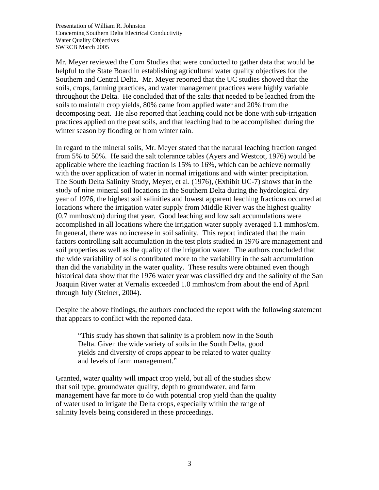Mr. Meyer reviewed the Corn Studies that were conducted to gather data that would be helpful to the State Board in establishing agricultural water quality objectives for the Southern and Central Delta. Mr. Meyer reported that the UC studies showed that the soils, crops, farming practices, and water management practices were highly variable throughout the Delta. He concluded that of the salts that needed to be leached from the soils to maintain crop yields, 80% came from applied water and 20% from the decomposing peat. He also reported that leaching could not be done with sub-irrigation practices applied on the peat soils, and that leaching had to be accomplished during the winter season by flooding or from winter rain.

In regard to the mineral soils, Mr. Meyer stated that the natural leaching fraction ranged from 5% to 50%. He said the salt tolerance tables (Ayers and Westcot, 1976) would be applicable where the leaching fraction is 15% to 16%, which can be achieve normally with the over application of water in normal irrigations and with winter precipitation. The South Delta Salinity Study, Meyer, et al. (1976), (Exhibit UC-7) shows that in the study of nine mineral soil locations in the Southern Delta during the hydrological dry year of 1976, the highest soil salinities and lowest apparent leaching fractions occurred at locations where the irrigation water supply from Middle River was the highest quality (0.7 mmhos/cm) during that year. Good leaching and low salt accumulations were accomplished in all locations where the irrigation water supply averaged 1.1 mmhos/cm. In general, there was no increase in soil salinity. This report indicated that the main factors controlling salt accumulation in the test plots studied in 1976 are management and soil properties as well as the quality of the irrigation water. The authors concluded that the wide variability of soils contributed more to the variability in the salt accumulation than did the variability in the water quality. These results were obtained even though historical data show that the 1976 water year was classified dry and the salinity of the San Joaquin River water at Vernalis exceeded 1.0 mmhos/cm from about the end of April through July (Steiner, 2004).

Despite the above findings, the authors concluded the report with the following statement that appears to conflict with the reported data.

"This study has shown that salinity is a problem now in the South Delta. Given the wide variety of soils in the South Delta, good yields and diversity of crops appear to be related to water quality and levels of farm management."

Granted, water quality will impact crop yield, but all of the studies show that soil type, groundwater quality, depth to groundwater, and farm management have far more to do with potential crop yield than the quality of water used to irrigate the Delta crops, especially within the range of salinity levels being considered in these proceedings.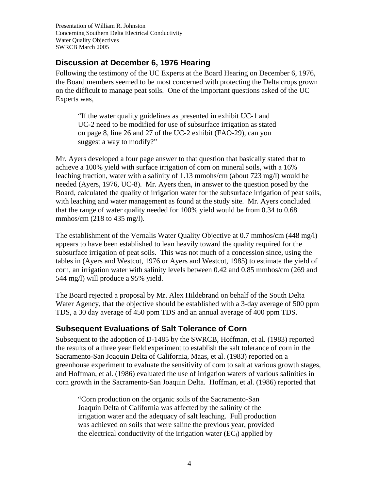#### **Discussion at December 6, 1976 Hearing**

Following the testimony of the UC Experts at the Board Hearing on December 6, 1976, the Board members seemed to be most concerned with protecting the Delta crops grown on the difficult to manage peat soils. One of the important questions asked of the UC Experts was,

"If the water quality guidelines as presented in exhibit UC-1 and UC-2 need to be modified for use of subsurface irrigation as stated on page 8, line 26 and 27 of the UC-2 exhibit (FAO-29), can you suggest a way to modify?"

Mr. Ayers developed a four page answer to that question that basically stated that to achieve a 100% yield with surface irrigation of corn on mineral soils, with a 16% leaching fraction, water with a salinity of 1.13 mmohs/cm (about 723 mg/l) would be needed (Ayers, 1976, UC-8). Mr. Ayers then, in answer to the question posed by the Board, calculated the quality of irrigation water for the subsurface irrigation of peat soils, with leaching and water management as found at the study site. Mr. Ayers concluded that the range of water quality needed for 100% yield would be from 0.34 to 0.68 mmhos/cm (218 to 435 mg/l).

The establishment of the Vernalis Water Quality Objective at 0.7 mmhos/cm (448 mg/l) appears to have been established to lean heavily toward the quality required for the subsurface irrigation of peat soils. This was not much of a concession since, using the tables in (Ayers and Westcot, 1976 or Ayers and Westcot, 1985) to estimate the yield of corn, an irrigation water with salinity levels between 0.42 and 0.85 mmhos/cm (269 and 544 mg/l) will produce a 95% yield.

The Board rejected a proposal by Mr. Alex Hildebrand on behalf of the South Delta Water Agency, that the objective should be established with a 3-day average of 500 ppm TDS, a 30 day average of 450 ppm TDS and an annual average of 400 ppm TDS.

## **Subsequent Evaluations of Salt Tolerance of Corn**

Subsequent to the adoption of D-1485 by the SWRCB, Hoffman, et al. (1983) reported the results of a three year field experiment to establish the salt tolerance of corn in the Sacramento-San Joaquin Delta of California, Maas, et al. (1983) reported on a greenhouse experiment to evaluate the sensitivity of corn to salt at various growth stages, and Hoffman, et al. (1986) evaluated the use of irrigation waters of various salinities in corn growth in the Sacramento-San Joaquin Delta. Hoffman, et al. (1986) reported that

"Corn production on the organic soils of the Sacramento-San Joaquin Delta of California was affected by the salinity of the irrigation water and the adequacy of salt leaching. Full production was achieved on soils that were saline the previous year, provided the electrical conductivity of the irrigation water  $(EC_i)$  applied by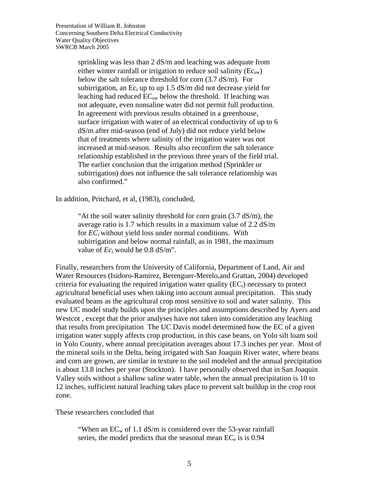sprinkling was less than 2 dS/m and leaching was adequate from either winter rainfall or irrigation to reduce soil salinity  $(Ec_{sw})$ below the salt tolerance threshold for corn (3.7 dS/m). For subirrigation, an Ec<sub>i</sub> up to up 1.5 dS/m did not decrease yield for leaching had reduced  $EC_{sw}$  below the threshold. If leaching was not adequate, even nonsaline water did not permit full production. In agreement with previous results obtained in a greenhouse, surface irrigation with water of an electrical conductivity of up to 6 dS/m after mid-season (end of July) did not reduce yield below that of treatments where salinity of the irrigation water was not increased at mid-season. Results also reconfirm the salt tolerance relationship established in the previous three years of the field trial. The earlier conclusion that the irrigation method (Sprinkler or subirrigation) does not influence the salt tolerance relationship was also confirmed."

In addition, Pritchard, et al, (1983), concluded,

"At the soil water salinity threshold for corn grain  $(3.7 \text{ dS/m})$ , the average ratio is 1.7 which results in a maximum value of 2.2 dS/m for *EC<sub>i</sub>* without yield loss under normal conditions. With subirrigation and below normal rainfall, as in 1981, the maximum value of  $Ec_i$  would be 0.8 dS/m".

Finally, researchers from the University of California, Department of Land, Air and Water Resources (Isidoro-Ramirez, Berenguer-Merelo,and Grattan, 2004) developed criteria for evaluating the required irrigation water quality  $(EC<sub>i</sub>)$  necessary to protect agricultural beneficial uses when taking into account annual precipitation. This study evaluated beans as the agricultural crop most sensitive to soil and water salinity. This new UC model study builds upon the principles and assumptions described by Ayers and Westcot , except that the prior analyses have not taken into consideration any leaching that results from precipitation The UC Davis model determined how the EC of a given irrigation water supply affects crop production, in this case beans, on Yolo silt loam soil in Yolo County, where annual precipitation averages about 17.3 inches per year. Most of the mineral soils in the Delta, being irrigated with San Joaquin River water, where beans and corn are grown, are similar in texture to the soil modeled and the annual precipitation is about 13.8 inches per year (Stockton). I have personally observed that in San Joaquin Valley soils without a shallow saline water table, when the annual precipitation is 10 to 12 inches, sufficient natural leaching takes place to prevent salt buildup in the crop root zone.

These researchers concluded that

"When an  $EC_w$  of 1.1 dS/m is considered over the 53-year rainfall series, the model predicts that the seasonal mean  $EC_e$  is is 0.94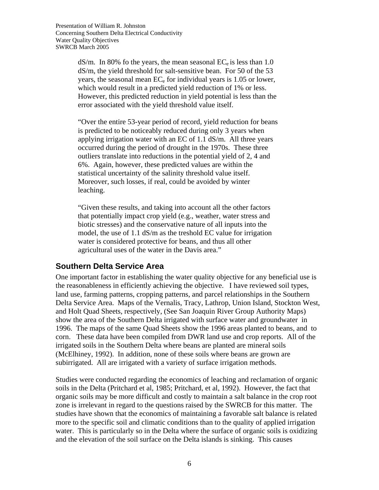$dS/m$ . In 80% fo the years, the mean seasonal  $EC_e$  is less than 1.0 dS/m, the yield threshold for salt-sensitive bean. For 50 of the 53 years, the seasonal mean  $EC<sub>e</sub>$  for individual years is 1.05 or lower, which would result in a predicted yield reduction of 1% or less. However, this predicted reduction in yield potential is less than the error associated with the yield threshold value itself.

"Over the entire 53-year period of record, yield reduction for beans is predicted to be noticeably reduced during only 3 years when applying irrigation water with an EC of 1.1 dS/m. All three years occurred during the period of drought in the 1970s. These three outliers translate into reductions in the potential yield of 2, 4 and 6%. Again, however, these predicted values are within the statistical uncertainty of the salinity threshold value itself. Moreover, such losses, if real, could be avoided by winter leaching.

"Given these results, and taking into account all the other factors that potentially impact crop yield (e.g., weather, water stress and biotic stresses) and the conservative nature of all inputs into the model, the use of 1.1 dS/m as the treshold EC value for irrigation water is considered protective for beans, and thus all other agricultural uses of the water in the Davis area."

#### **Southern Delta Service Area**

One important factor in establishing the water quality objective for any beneficial use is the reasonableness in efficiently achieving the objective. I have reviewed soil types, land use, farming patterns, cropping patterns, and parcel relationships in the Southern Delta Service Area. Maps of the Vernalis, Tracy, Lathrop, Union Island, Stockton West, and Holt Quad Sheets, respectively, (See San Joaquin River Group Authority Maps) show the area of the Southern Delta irrigated with surface water and groundwater in 1996. The maps of the same Quad Sheets show the 1996 areas planted to beans, and to corn. These data have been compiled from DWR land use and crop reports. All of the irrigated soils in the Southern Delta where beans are planted are mineral soils (McElhiney, 1992). In addition, none of these soils where beans are grown are subirrigated. All are irrigated with a variety of surface irrigation methods.

Studies were conducted regarding the economics of leaching and reclamation of organic soils in the Delta (Pritchard et al, 1985; Pritchard, et al, 1992). However, the fact that organic soils may be more difficult and costly to maintain a salt balance in the crop root zone is irrelevant in regard to the questions raised by the SWRCB for this matter. The studies have shown that the economics of maintaining a favorable salt balance is related more to the specific soil and climatic conditions than to the quality of applied irrigation water. This is particularly so in the Delta where the surface of organic soils is oxidizing and the elevation of the soil surface on the Delta islands is sinking. This causes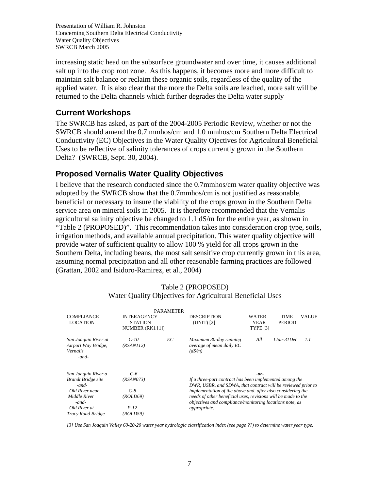increasing static head on the subsurface groundwater and over time, it causes additional salt up into the crop root zone. As this happens, it becomes more and more difficult to maintain salt balance or reclaim these organic soils, regardless of the quality of the applied water. It is also clear that the more the Delta soils are leached, more salt will be returned to the Delta channels which further degrades the Delta water supply

#### **Current Workshops**

The SWRCB has asked, as part of the 2004-2005 Periodic Review, whether or not the SWRCB should amend the 0.7 mmhos/cm and 1.0 mmhos/cm Southern Delta Electrical Conductivity (EC) Objectives in the Water Quality Ojectives for Agricultural Beneficial Uses to be reflective of salinity tolerances of crops currently grown in the Southern Delta? (SWRCB, Sept. 30, 2004).

### **Proposed Vernalis Water Quality Objectives**

I believe that the research conducted since the 0.7mmhos/cm water quality objective was adopted by the SWRCB show that the 0.7mmhos/cm is not justified as reasonable, beneficial or necessary to insure the viability of the crops grown in the Southern Delta service area on mineral soils in 2005. It is therefore recommended that the Vernalis agricultural salinity objective be changed to 1.1 dS/m for the entire year, as shown in "Table 2 (PROPOSED)". This recommendation takes into consideration crop type, soils, irrigation methods, and available annual precipitation. This water quality objective will provide water of sufficient quality to allow 100 % yield for all crops grown in the Southern Delta, including beans, the most salt sensitive crop currently grown in this area, assuming normal precipitation and all other reasonable farming practices are followed (Grattan, 2002 and Isidoro-Ramirez, et al., 2004)

|                                                                           |                                                          | <b>PARAMETER</b> |                                                                                                                                                                                                                                                                   |                                         |                              |              |
|---------------------------------------------------------------------------|----------------------------------------------------------|------------------|-------------------------------------------------------------------------------------------------------------------------------------------------------------------------------------------------------------------------------------------------------------------|-----------------------------------------|------------------------------|--------------|
| <b>COMPLIANCE</b><br><b>LOCATION</b>                                      | <b>INTERAGENCY</b><br><b>STATION</b><br>NUMBER (RK1 [1]) |                  | <b>DESCRIPTION</b><br>(UNIT) [2]                                                                                                                                                                                                                                  | WATER<br><b>YEAR</b><br><b>TYPE [3]</b> | <b>TIME</b><br><b>PERIOD</b> | <b>VALUE</b> |
| San Joaquin River at<br>Airport Way Bridge,<br><b>Vernalis</b><br>$-and-$ | $C-10$<br>( <i>RSAN112</i> )                             | EС               | Maximum 30-day running<br>average of mean daily EC<br>(dS/m)                                                                                                                                                                                                      | All                                     | $1 Jan-3 1 Dec$              | 1.1          |
| San Joaquin River a<br><b>Brandt Bridge site</b>                          | C-6<br>( <i>RSAN073</i> )                                |                  | $-0r-$<br>If a three-part contract has been implemented among the<br>DWR, USBR, and SDWA, that contract will be reviewed prior to<br>implementation of the above and, after also considering the<br>needs of other beneficial uses, revisions will be made to the |                                         |                              |              |
| $-$ and $-$                                                               |                                                          |                  |                                                                                                                                                                                                                                                                   |                                         |                              |              |
| Old River near                                                            | $C-8$                                                    |                  |                                                                                                                                                                                                                                                                   |                                         |                              |              |
| Middle River                                                              | ( <i>ROLD69</i> )                                        |                  |                                                                                                                                                                                                                                                                   |                                         |                              |              |
| $-and-$                                                                   |                                                          |                  | objectives and compliance/monitoring locations note, as                                                                                                                                                                                                           |                                         |                              |              |
| Old River at                                                              | $P-12$                                                   |                  | <i>appropriate.</i>                                                                                                                                                                                                                                               |                                         |                              |              |
| Tracy Road Bridge                                                         | (ROLD59)                                                 |                  |                                                                                                                                                                                                                                                                   |                                         |                              |              |

#### Table 2 (PROPOSED) Water Quality Objectives for Agricultural Beneficial Uses

*[3] Use San Joaquin Valley 60-20-20 water year hydrologic classification index (see page ??) to determine water year type.*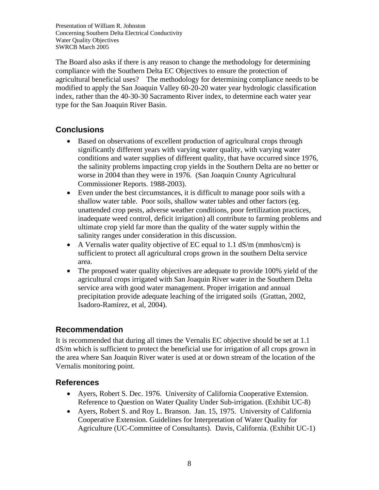The Board also asks if there is any reason to change the methodology for determining compliance with the Southern Delta EC Objectives to ensure the protection of agricultural beneficial uses? The methodology for determining compliance needs to be modified to apply the San Joaquin Valley 60-20-20 water year hydrologic classification index, rather than the 40-30-30 Sacramento River index, to determine each water year type for the San Joaquin River Basin.

## **Conclusions**

- Based on observations of excellent production of agricultural crops through significantly different years with varying water quality, with varying water conditions and water supplies of different quality, that have occurred since 1976, the salinity problems impacting crop yields in the Southern Delta are no better or worse in 2004 than they were in 1976. (San Joaquin County Agricultural Commissioner Reports. 1988-2003).
- Even under the best circumstances, it is difficult to manage poor soils with a shallow water table. Poor soils, shallow water tables and other factors (eg. unattended crop pests, adverse weather conditions, poor fertilization practices, inadequate weed control, deficit irrigation) all contribute to farming problems and ultimate crop yield far more than the quality of the water supply within the salinity ranges under consideration in this discussion.
- A Vernalis water quality objective of EC equal to 1.1 dS/m (mmhos/cm) is sufficient to protect all agricultural crops grown in the southern Delta service area.
- The proposed water quality objectives are adequate to provide 100% yield of the agricultural crops irrigated with San Joaquin River water in the Southern Delta service area with good water management. Proper irrigation and annual precipitation provide adequate leaching of the irrigated soils (Grattan, 2002, Isadoro-Ramirez, et al, 2004).

#### **Recommendation**

It is recommended that during all times the Vernalis EC objective should be set at 1.1 dS/m which is sufficient to protect the beneficial use for irrigation of all crops grown in the area where San Joaquin River water is used at or down stream of the location of the Vernalis monitoring point.

#### **References**

- Ayers, Robert S. Dec. 1976. University of California Cooperative Extension. Reference to Question on Water Quality Under Sub-irrigation. (Exhibit UC-8)
- Ayers, Robert S. and Roy L. Branson. Jan. 15, 1975. University of California Cooperative Extension. Guidelines for Interpretation of Water Quality for Agriculture (UC-Committee of Consultants). Davis, California. (Exhibit UC-1)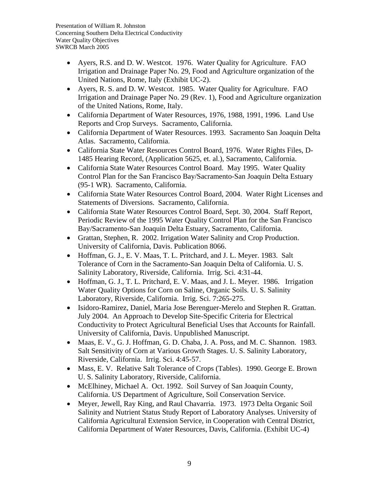- Ayers, R.S. and D. W. Westcot. 1976. Water Quality for Agriculture. FAO Irrigation and Drainage Paper No. 29, Food and Agriculture organization of the United Nations, Rome, Italy (Exhibit UC-2).
- Ayers, R. S. and D. W. Westcot. 1985. Water Quality for Agriculture. FAO Irrigation and Drainage Paper No. 29 (Rev. 1), Food and Agriculture organization of the United Nations, Rome, Italy.
- California Department of Water Resources, 1976, 1988, 1991, 1996. Land Use Reports and Crop Surveys. Sacramento, California.
- California Department of Water Resources. 1993. Sacramento San Joaquin Delta Atlas. Sacramento, California.
- California State Water Resources Control Board, 1976. Water Rights Files, D-1485 Hearing Record, (Application 5625, et. al.), Sacramento, California.
- California State Water Resources Control Board. May 1995. Water Ouality Control Plan for the San Francisco Bay/Sacramento-San Joaquin Delta Estuary (95-1 WR). Sacramento, California.
- California State Water Resources Control Board, 2004. Water Right Licenses and Statements of Diversions. Sacramento, California.
- California State Water Resources Control Board, Sept. 30, 2004. Staff Report, Periodic Review of the 1995 Water Quality Control Plan for the San Francisco Bay/Sacramento-San Joaquin Delta Estuary, Sacramento, California.
- Grattan, Stephen, R. 2002. Irrigation Water Salinity and Crop Production. University of California, Davis. Publication 8066.
- Hoffman, G. J., E. V. Maas, T. L. Pritchard, and J. L. Meyer. 1983. Salt Tolerance of Corn in the Sacramento-San Joaquin Delta of California. U. S. Salinity Laboratory, Riverside, California. Irrig. Sci. 4:31-44.
- Hoffman, G. J., T. L. Pritchard, E. V. Maas, and J. L. Meyer. 1986. Irrigation Water Quality Options for Corn on Saline, Organic Soils. U. S. Salinity Laboratory, Riverside, California. Irrig. Sci. 7:265-275.
- Isidoro-Ramirez, Daniel, Maria Jose Berenguer-Merelo and Stephen R. Grattan. July 2004. An Approach to Develop Site-Specific Criteria for Electrical Conductivity to Protect Agricultural Beneficial Uses that Accounts for Rainfall. University of California, Davis. Unpublished Manuscript.
- Maas, E. V., G. J. Hoffman, G. D. Chaba, J. A. Poss, and M. C. Shannon. 1983. Salt Sensitivity of Corn at Various Growth Stages. U. S. Salinity Laboratory, Riverside, California. Irrig. Sci. 4:45-57.
- Mass, E. V. Relative Salt Tolerance of Crops (Tables). 1990. George E. Brown U. S. Salinity Laboratory, Riverside, California.
- McElhiney, Michael A. Oct. 1992. Soil Survey of San Joaquin County, California. US Department of Agriculture, Soil Conservation Service.
- Meyer, Jewell, Ray King, and Raul Chavarria. 1973. 1973 Delta Organic Soil Salinity and Nutrient Status Study Report of Laboratory Analyses. University of California Agricultural Extension Service, in Cooperation with Central District, California Department of Water Resources, Davis, California. (Exhibit UC-4)